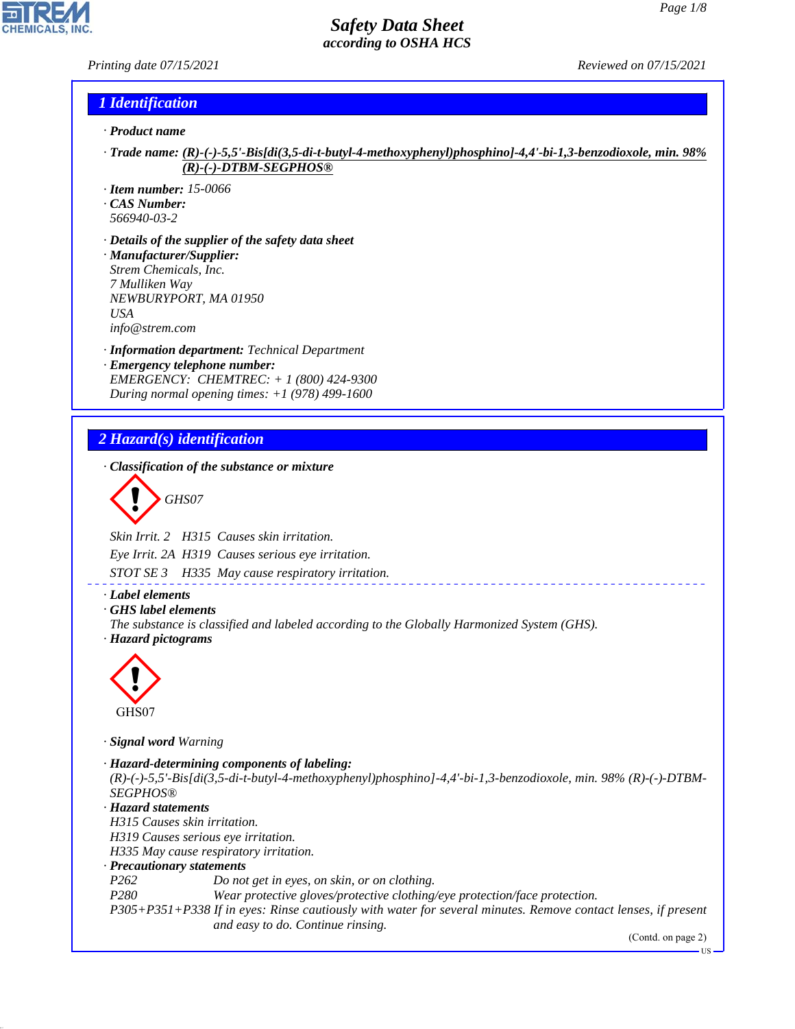### *Printing date 07/15/2021 Reviewed on 07/15/2021*

### *1 Identification*

- *· Product name*
- *· Trade name: (R)-(-)-5,5'-Bis[di(3,5-di-t-butyl-4-methoxyphenyl)phosphino]-4,4'-bi-1,3-benzodioxole, min. 98% (R)-(-)-DTBM-SEGPHOS®*
- *· Item number: 15-0066*
- *· CAS Number:*
- *566940-03-2*
- *· Details of the supplier of the safety data sheet · Manufacturer/Supplier: Strem Chemicals, Inc. 7 Mulliken Way NEWBURYPORT, MA 01950 USA info@strem.com*
- *· Information department: Technical Department · Emergency telephone number: EMERGENCY: CHEMTREC: + 1 (800) 424-9300*
- *During normal opening times: +1 (978) 499-1600*

### *2 Hazard(s) identification*

*· Classification of the substance or mixture*

$$
\left\langle \begin{array}{c}\n\end{array}\right\rangle
$$
 GHSO7

*Skin Irrit. 2 H315 Causes skin irritation.*

*Eye Irrit. 2A H319 Causes serious eye irritation.*

*STOT SE 3 H335 May cause respiratory irritation.*

### *· Label elements*

- *· GHS label elements*
- *The substance is classified and labeled according to the Globally Harmonized System (GHS).*





44.1.1

*· Signal word Warning*

*· Hazard-determining components of labeling: (R)-(-)-5,5'-Bis[di(3,5-di-t-butyl-4-methoxyphenyl)phosphino]-4,4'-bi-1,3-benzodioxole, min. 98% (R)-(-)-DTBM-SEGPHOS® · Hazard statements H315 Causes skin irritation. H319 Causes serious eye irritation. H335 May cause respiratory irritation. · Precautionary statements P262 Do not get in eyes, on skin, or on clothing. P280 Wear protective gloves/protective clothing/eye protection/face protection. P305+P351+P338 If in eyes: Rinse cautiously with water for several minutes. Remove contact lenses, if present and easy to do. Continue rinsing.*

(Contd. on page 2)

US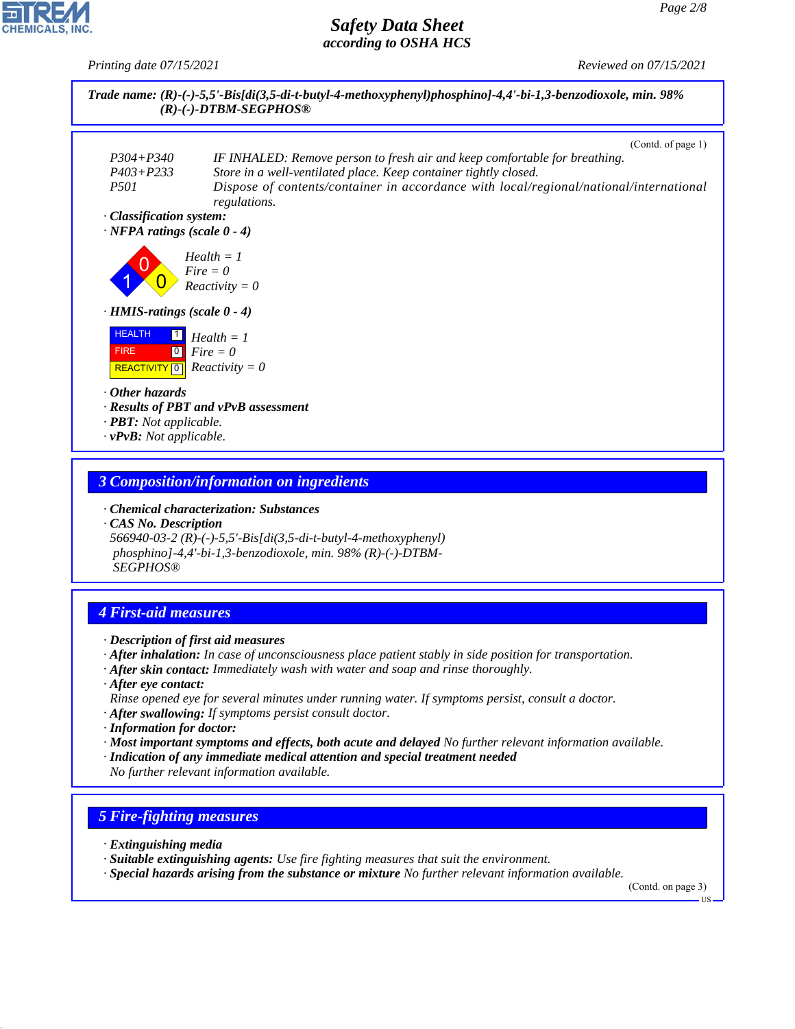*Printing date 07/15/2021 Reviewed on 07/15/2021*



#### *3 Composition/information on ingredients*

*· Chemical characterization: Substances*

*· CAS No. Description 566940-03-2 (R)-(-)-5,5'-Bis[di(3,5-di-t-butyl-4-methoxyphenyl) phosphino]-4,4'-bi-1,3-benzodioxole, min. 98% (R)-(-)-DTBM- SEGPHOS®*

# *4 First-aid measures*

- *· Description of first aid measures*
- *· After inhalation: In case of unconsciousness place patient stably in side position for transportation.*
- *· After skin contact: Immediately wash with water and soap and rinse thoroughly.*
- *· After eye contact: Rinse opened eye for several minutes under running water. If symptoms persist, consult a doctor.*
- *· After swallowing: If symptoms persist consult doctor.*
- *· Information for doctor:*
- *· Most important symptoms and effects, both acute and delayed No further relevant information available.*
- *· Indication of any immediate medical attention and special treatment needed No further relevant information available.*

### *5 Fire-fighting measures*

*· Extinguishing media*

44.1.1

- *· Suitable extinguishing agents: Use fire fighting measures that suit the environment.*
- *· Special hazards arising from the substance or mixture No further relevant information available.*

(Contd. on page 3)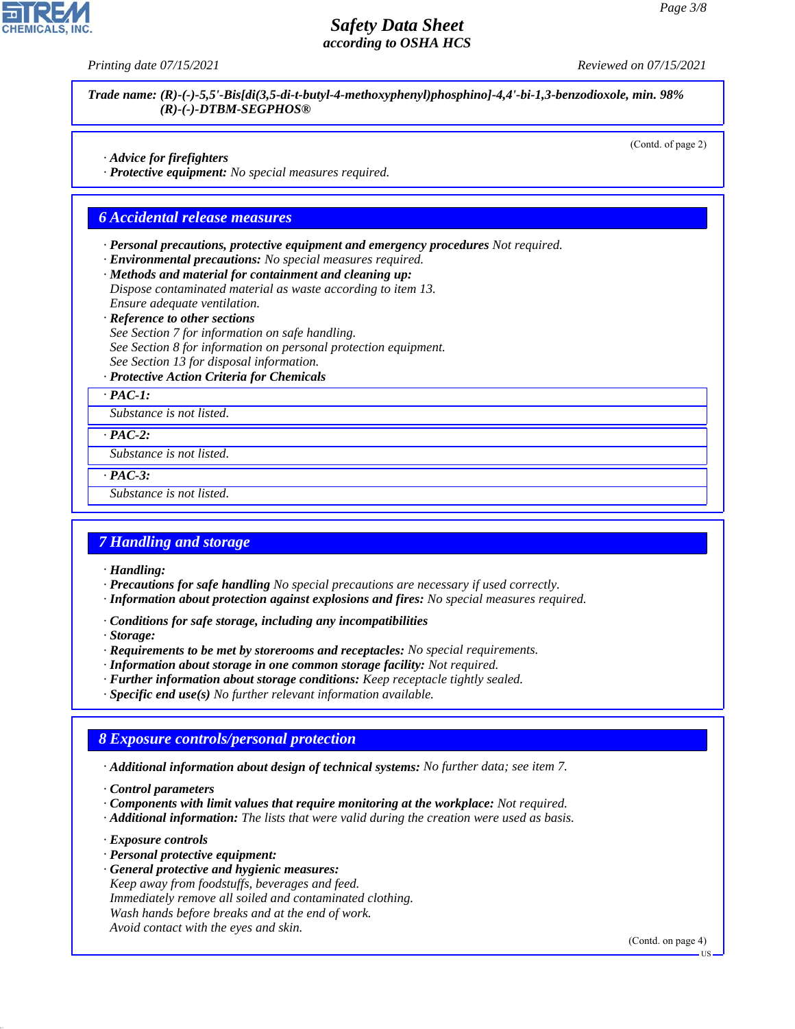*Printing date 07/15/2021 Reviewed on 07/15/2021*

*Trade name: (R)-(-)-5,5'-Bis[di(3,5-di-t-butyl-4-methoxyphenyl)phosphino]-4,4'-bi-1,3-benzodioxole, min. 98% (R)-(-)-DTBM-SEGPHOS®*

(Contd. of page 2)

- *· Advice for firefighters*
- *· Protective equipment: No special measures required.*

#### *6 Accidental release measures*

- *· Personal precautions, protective equipment and emergency procedures Not required.*
- *· Environmental precautions: No special measures required.*
- *· Methods and material for containment and cleaning up:*
- *Dispose contaminated material as waste according to item 13. Ensure adequate ventilation.*
- *· Reference to other sections*
- *See Section 7 for information on safe handling. See Section 8 for information on personal protection equipment. See Section 13 for disposal information.*
- *· Protective Action Criteria for Chemicals*
- *· PAC-1:*

*Substance is not listed.*

*· PAC-2:*

*Substance is not listed.*

*· PAC-3:*

*Substance is not listed.*

#### *7 Handling and storage*

- *· Handling:*
- *· Precautions for safe handling No special precautions are necessary if used correctly.*
- *· Information about protection against explosions and fires: No special measures required.*
- *· Conditions for safe storage, including any incompatibilities*
- *· Storage:*
- *· Requirements to be met by storerooms and receptacles: No special requirements.*
- *· Information about storage in one common storage facility: Not required.*
- *· Further information about storage conditions: Keep receptacle tightly sealed.*
- *· Specific end use(s) No further relevant information available.*

### *8 Exposure controls/personal protection*

- *· Additional information about design of technical systems: No further data; see item 7.*
- *· Control parameters*
- *· Components with limit values that require monitoring at the workplace: Not required.*
- *· Additional information: The lists that were valid during the creation were used as basis.*
- *· Exposure controls*

44.1.1

- *· Personal protective equipment:*
- *· General protective and hygienic measures: Keep away from foodstuffs, beverages and feed. Immediately remove all soiled and contaminated clothing. Wash hands before breaks and at the end of work. Avoid contact with the eyes and skin.*

(Contd. on page 4)

US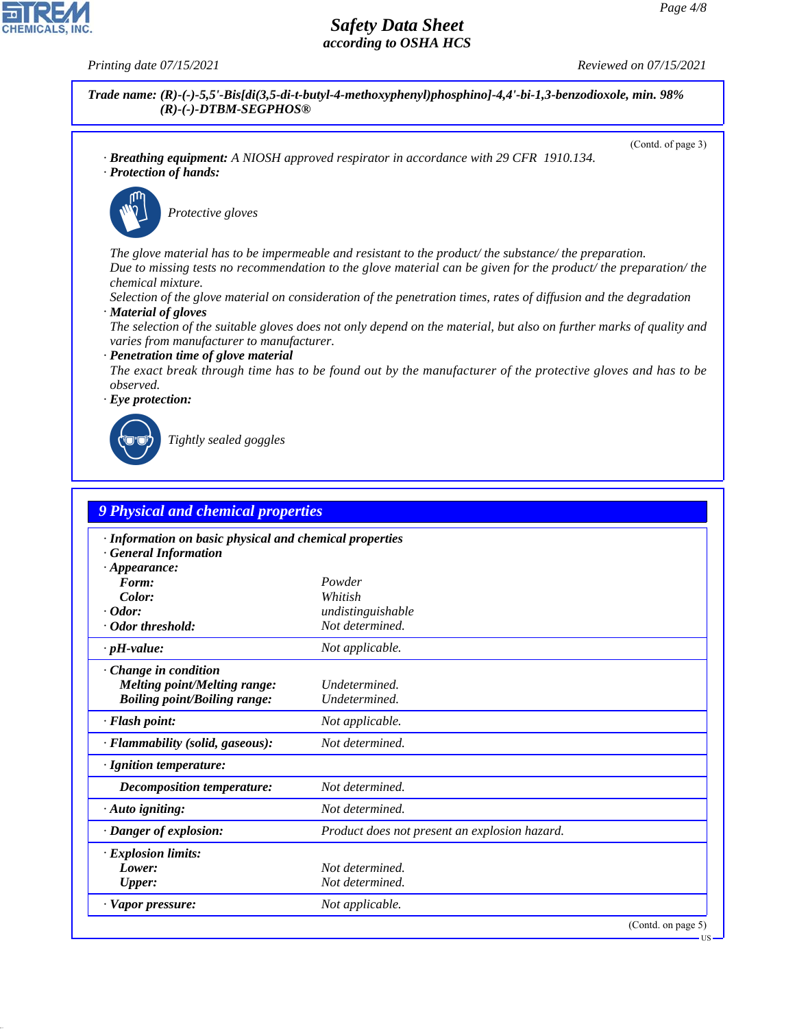

*Decomposition temperature: Not determined. · Auto igniting: Not determined.*

*Lower: Not determined. Upper: Not determined. · Vapor pressure: Not applicable.*

*· Explosion limits:*

*· Danger of explosion: Product does not present an explosion hazard.*

44.1.1

**CHEMICALS**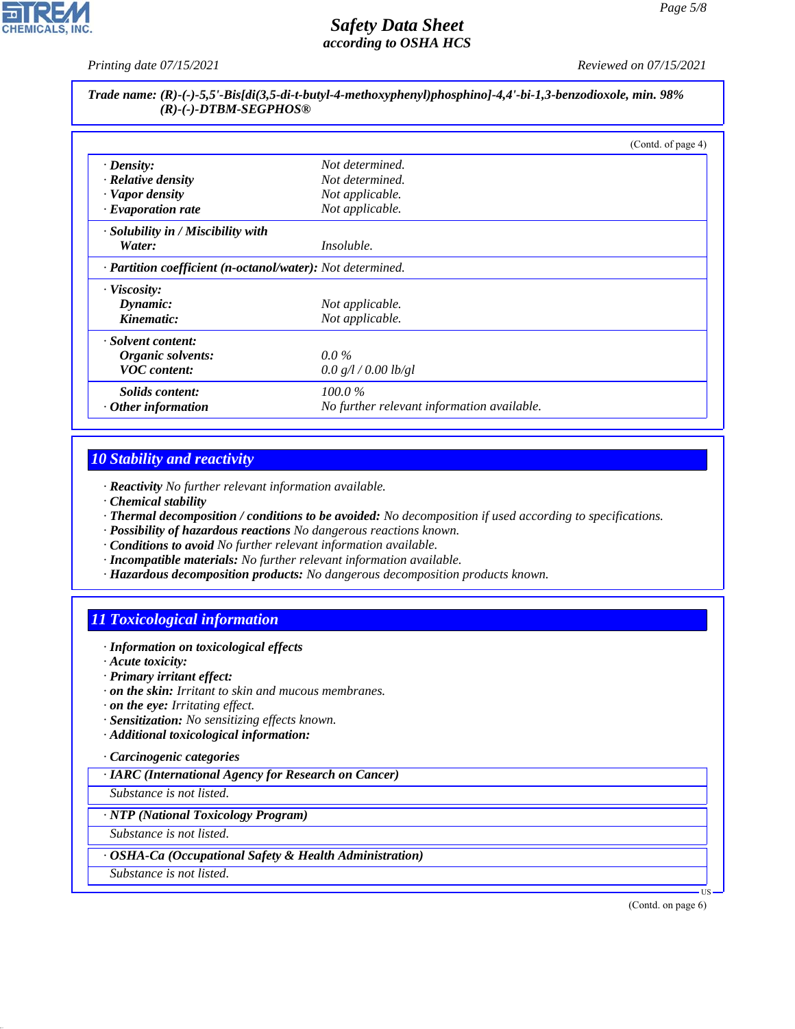*Printing date 07/15/2021 Reviewed on 07/15/2021*

### *Trade name: (R)-(-)-5,5'-Bis[di(3,5-di-t-butyl-4-methoxyphenyl)phosphino]-4,4'-bi-1,3-benzodioxole, min. 98% (R)-(-)-DTBM-SEGPHOS®*

|                                                            |                                            | (Contd. of page 4) |
|------------------------------------------------------------|--------------------------------------------|--------------------|
| $\cdot$ Density:                                           | Not determined.                            |                    |
| $\cdot$ Relative density                                   | Not determined.                            |                    |
| · Vapor density                                            | Not applicable.                            |                    |
| $\cdot$ Evaporation rate                                   | Not applicable.                            |                    |
| $\cdot$ Solubility in / Miscibility with                   |                                            |                    |
| Water:                                                     | <i>Insoluble.</i>                          |                    |
| · Partition coefficient (n-octanol/water): Not determined. |                                            |                    |
| · Viscosity:                                               |                                            |                    |
| Dynamic:                                                   | Not applicable.                            |                    |
| Kinematic:                                                 | Not applicable.                            |                    |
| · Solvent content:                                         |                                            |                    |
| Organic solvents:                                          | $0.0\%$                                    |                    |
| <b>VOC</b> content:                                        | 0.0 g/l / 0.00 lb/gl                       |                    |
| <i>Solids content:</i>                                     | $100.0\%$                                  |                    |
| $\cdot$ Other information                                  | No further relevant information available. |                    |

### *10 Stability and reactivity*

*· Reactivity No further relevant information available.*

- *· Chemical stability*
- *· Thermal decomposition / conditions to be avoided: No decomposition if used according to specifications.*
- *· Possibility of hazardous reactions No dangerous reactions known.*
- *· Conditions to avoid No further relevant information available.*
- *· Incompatible materials: No further relevant information available.*
- *· Hazardous decomposition products: No dangerous decomposition products known.*

# *11 Toxicological information*

- *· Information on toxicological effects*
- *· Acute toxicity:*
- *· Primary irritant effect:*
- *· on the skin: Irritant to skin and mucous membranes.*
- *· on the eye: Irritating effect.*
- *· Sensitization: No sensitizing effects known.*
- *· Additional toxicological information:*

#### *· Carcinogenic categories*

*· IARC (International Agency for Research on Cancer)*

*Substance is not listed.*

#### *· NTP (National Toxicology Program)*

*Substance is not listed.*

### *· OSHA-Ca (Occupational Safety & Health Administration)*

*Substance is not listed.*

44.1.1

(Contd. on page 6)

US

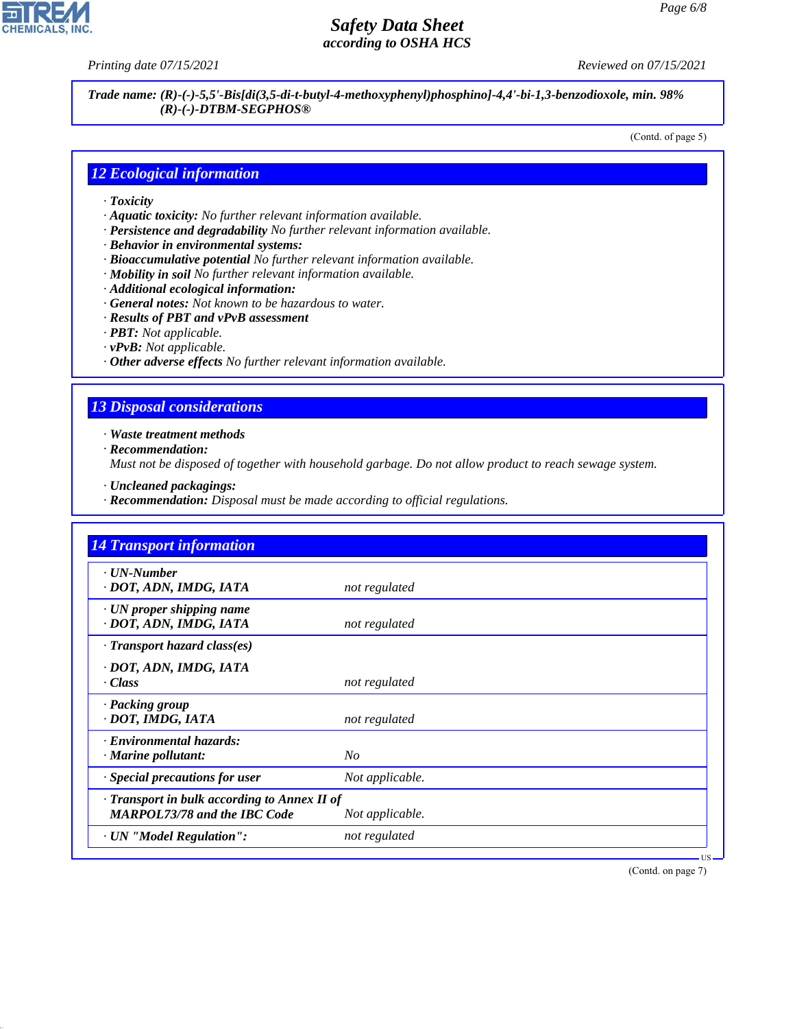**CHEMICALS, INC** 

*Printing date 07/15/2021 Reviewed on 07/15/2021*

*Trade name: (R)-(-)-5,5'-Bis[di(3,5-di-t-butyl-4-methoxyphenyl)phosphino]-4,4'-bi-1,3-benzodioxole, min. 98% (R)-(-)-DTBM-SEGPHOS®*

(Contd. of page 5)

### *12 Ecological information*

- *· Toxicity*
- *· Aquatic toxicity: No further relevant information available.*
- *· Persistence and degradability No further relevant information available.*
- *· Behavior in environmental systems:*
- *· Bioaccumulative potential No further relevant information available.*
- *· Mobility in soil No further relevant information available.*
- *· Additional ecological information:*
- *· General notes: Not known to be hazardous to water.*
- *· Results of PBT and vPvB assessment*
- *· PBT: Not applicable.*
- *· vPvB: Not applicable.*
- *· Other adverse effects No further relevant information available.*

# *13 Disposal considerations*

*· Waste treatment methods*

*· Recommendation:*

44.1.1

*Must not be disposed of together with household garbage. Do not allow product to reach sewage system.*

- *· Uncleaned packagings:*
- *· Recommendation: Disposal must be made according to official regulations.*

| <b>14 Transport information</b>                                                     |                 |
|-------------------------------------------------------------------------------------|-----------------|
| · UN-Number<br>· DOT, ADN, IMDG, IATA                                               | not regulated   |
| $\cdot$ UN proper shipping name<br>· DOT, ADN, IMDG, IATA                           | not regulated   |
| $\cdot$ Transport hazard class(es)                                                  |                 |
| · DOT, ADN, IMDG, IATA<br>· Class                                                   | not regulated   |
| · Packing group<br>· DOT, IMDG, IATA                                                | not regulated   |
| · Environmental hazards:<br>$\cdot$ Marine pollutant:                               | N <sub>O</sub>  |
| · Special precautions for user                                                      | Not applicable. |
| · Transport in bulk according to Annex II of<br><b>MARPOL73/78 and the IBC Code</b> | Not applicable. |
| · UN "Model Regulation":                                                            | not regulated   |

(Contd. on page 7)

US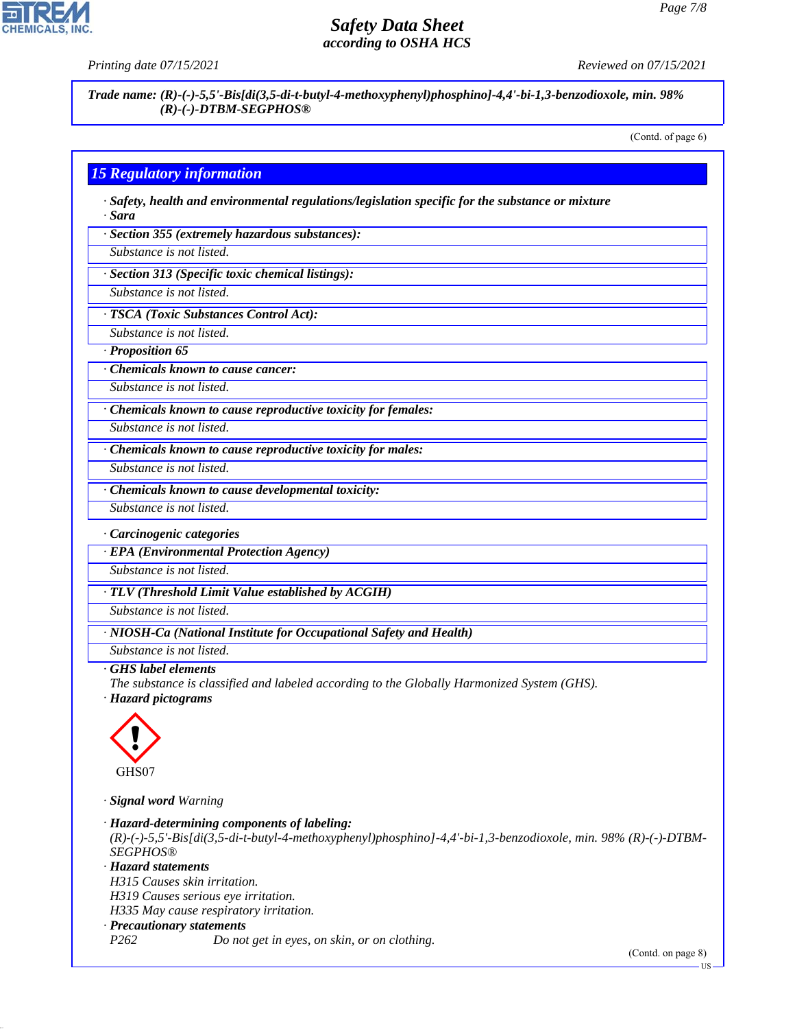**CHEMICALS** 

*Printing date 07/15/2021 Reviewed on 07/15/2021*

*Trade name: (R)-(-)-5,5'-Bis[di(3,5-di-t-butyl-4-methoxyphenyl)phosphino]-4,4'-bi-1,3-benzodioxole, min. 98% (R)-(-)-DTBM-SEGPHOS®*

(Contd. of page 6)

# *15 Regulatory information*

*· Safety, health and environmental regulations/legislation specific for the substance or mixture · Sara*

*· Section 355 (extremely hazardous substances):*

*Substance is not listed.*

*· Section 313 (Specific toxic chemical listings):*

*Substance is not listed.*

*· TSCA (Toxic Substances Control Act):*

*Substance is not listed.*

*· Proposition 65*

*· Chemicals known to cause cancer:*

*Substance is not listed.*

*· Chemicals known to cause reproductive toxicity for females:*

*Substance is not listed.*

*Substance is not listed.*

*· Chemicals known to cause reproductive toxicity for males:*

*· Chemicals known to cause developmental toxicity:*

*Substance is not listed.*

*· Carcinogenic categories*

*· EPA (Environmental Protection Agency)*

*Substance is not listed.*

*· TLV (Threshold Limit Value established by ACGIH)*

*Substance is not listed.*

*· NIOSH-Ca (National Institute for Occupational Safety and Health)*

*Substance is not listed.*

#### *· GHS label elements*

*The substance is classified and labeled according to the Globally Harmonized System (GHS).*

*· Hazard pictograms*



44.1.1

*· Signal word Warning*

*· Hazard-determining components of labeling: (R)-(-)-5,5'-Bis[di(3,5-di-t-butyl-4-methoxyphenyl)phosphino]-4,4'-bi-1,3-benzodioxole, min. 98% (R)-(-)-DTBM-SEGPHOS® · Hazard statements H315 Causes skin irritation. H319 Causes serious eye irritation. H335 May cause respiratory irritation. · Precautionary statements P262 Do not get in eyes, on skin, or on clothing.*